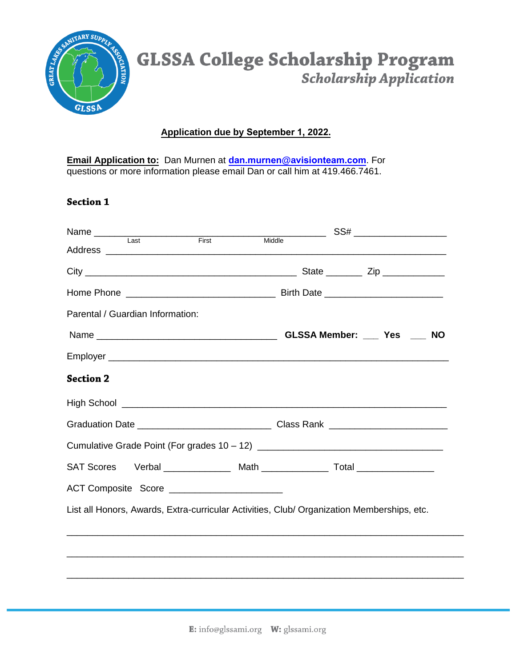

# **GLSSA College Scholarship Program Scholarship Application**

## **Application due by September 1, 2022.**

**Email Application to:** Dan Murnen at **dan.murnen@a[visionteam.com](mailto:dan@apex-reps.com)**. For questions or more information please email Dan or call him at 419.466.7461.

### **Section 1**

|                                  |                                              | Middle |                                                                                            |  |
|----------------------------------|----------------------------------------------|--------|--------------------------------------------------------------------------------------------|--|
|                                  |                                              |        |                                                                                            |  |
|                                  |                                              |        |                                                                                            |  |
| Parental / Guardian Information: |                                              |        |                                                                                            |  |
|                                  |                                              |        |                                                                                            |  |
|                                  |                                              |        |                                                                                            |  |
| <b>Section 2</b>                 |                                              |        |                                                                                            |  |
|                                  |                                              |        |                                                                                            |  |
|                                  |                                              |        |                                                                                            |  |
|                                  |                                              |        |                                                                                            |  |
|                                  |                                              |        | SAT Scores Verbal ______________ Math _______________ Total ____________________           |  |
|                                  | ACT Composite Score ________________________ |        |                                                                                            |  |
|                                  |                                              |        | List all Honors, Awards, Extra-curricular Activities, Club/ Organization Memberships, etc. |  |
|                                  |                                              |        |                                                                                            |  |
|                                  |                                              |        |                                                                                            |  |
|                                  |                                              |        |                                                                                            |  |
|                                  |                                              |        |                                                                                            |  |